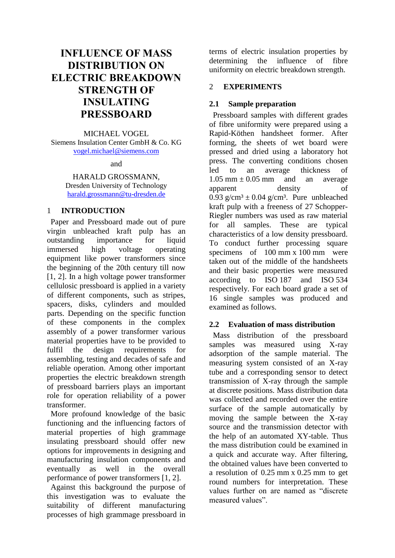# **INFLUENCE OF MASS DISTRIBUTION ON ELECTRIC BREAKDOWN STRENGTH OF INSULATING PRESSBOARD**

MICHAEL VOGEL Siemens Insulation Center GmbH & Co. KG [vogel.michael@siemens.com](mailto:vogel.michael@siemens.com)

and

HARALD GROSSMANN, Dresden University of Technology [harald.grossmann@tu-dresden.de](mailto:harald.grossmann@tu-dresden.de)

## 1 **INTRODUCTION**

Paper and Pressboard made out of pure virgin unbleached kraft pulp has an outstanding importance for liquid immersed high voltage operating equipment like power transformers since the beginning of the 20th century till now [1, 2]. In a high voltage power transformer cellulosic pressboard is applied in a variety of different components, such as stripes, spacers, disks, cylinders and moulded parts. Depending on the specific function of these components in the complex assembly of a power transformer various material properties have to be provided to fulfil the design requirements for assembling, testing and decades of safe and reliable operation. Among other important properties the electric breakdown strength of pressboard barriers plays an important role for operation reliability of a power transformer.

More profound knowledge of the basic functioning and the influencing factors of material properties of high grammage insulating pressboard should offer new options for improvements in designing and manufacturing insulation components and eventually as well in the overall performance of power transformers [1, 2].

Against this background the purpose of this investigation was to evaluate the suitability of different manufacturing processes of high grammage pressboard in

terms of electric insulation properties by determining the influence of fibre uniformity on electric breakdown strength.

# 2 **EXPERIMENTS**

# **2.1 Sample preparation**

Pressboard samples with different grades of fibre uniformity were prepared using a Rapid-Köthen handsheet former. After forming, the sheets of wet board were pressed and dried using a laboratory hot press. The converting conditions chosen led to an average thickness of 1.05 mm  $\pm$  0.05 mm and an average apparent density of 0.93 g/cm<sup>3</sup>  $\pm$  0.04 g/cm<sup>3</sup>. Pure unbleached kraft pulp with a freeness of 27 Schopper-Riegler numbers was used as raw material for all samples. These are typical characteristics of a low density pressboard. To conduct further processing square specimens of 100 mm x 100 mm were taken out of the middle of the handsheets and their basic properties were measured according to ISO 187 and ISO 534 respectively. For each board grade a set of 16 single samples was produced and examined as follows.

# **2.2 Evaluation of mass distribution**

Mass distribution of the pressboard samples was measured using X-ray adsorption of the sample material. The measuring system consisted of an X-ray tube and a corresponding sensor to detect transmission of X-ray through the sample at discrete positions. Mass distribution data was collected and recorded over the entire surface of the sample automatically by moving the sample between the X-ray source and the transmission detector with the help of an automated XY-table. Thus the mass distribution could be examined in a quick and accurate way. After filtering, the obtained values have been converted to a resolution of 0.25 mm x 0.25 mm to get round numbers for interpretation. These values further on are named as "discrete measured values".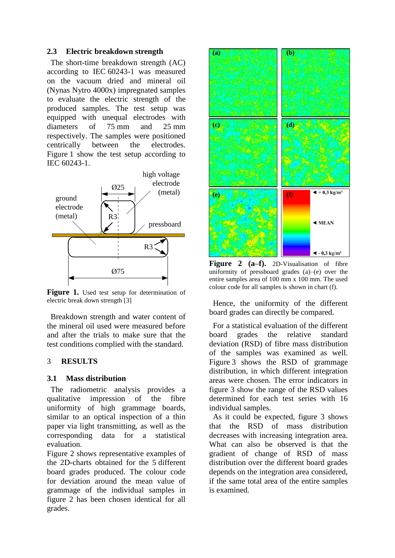#### **2.3 Electric breakdown strength**

The short-time breakdown strength (AC) according to IEC 60243-1 was measured on the vacuum dried and mineral oil (Nynas Nytro 4000x) impregnated samples to evaluate the electric strength of the produced samples. The test setup was equipped with unequal electrodes with diameters of 75 mm and 25 mm respectively. The samples were positioned centrically between the electrodes. Figure 1 show the test setup according to IEC 60243-1.



Figure 1. Used test setup for determination of electric break down strength [3]

Breakdown strength and water content of the mineral oil used were measured before and after the trials to make sure that the test conditions complied with the standard.

## 3 **RESULTS**

#### **3.1 Mass distribution**

The radiometric analysis provides a qualitative impression of the fibre uniformity of high grammage boards, similar to an optical inspection of a thin paper via light transmitting, as well as the corresponding data for a statistical evaluation.

Figure 2 shows representative examples of the 2D-charts obtained for the 5 different board grades produced. The colour code for deviation around the mean value of grammage of the individual samples in figure 2 has been chosen identical for all grades.



**Figure 2 (a–f).** 2D-Visualisation of fibre uniformity of pressboard grades (a)–(e) over the entire samples area of 100 mm x 100 mm. The used colour code for all samples is shown in chart (f).

Hence, the uniformity of the different board grades can directly be compared.

For a statistical evaluation of the different board grades the relative standard deviation (RSD) of fibre mass distribution of the samples was examined as well. Figure 3 shows the RSD of grammage distribution, in which different integration areas were chosen. The error indicators in figure 3 show the range of the RSD values determined for each test series with 16 individual samples.

As it could be expected, figure 3 shows that the RSD of mass distribution decreases with increasing integration area. What can also be observed is that the gradient of change of RSD of mass distribution over the different board grades depends on the integration area considered, if the same total area of the entire samples is examined.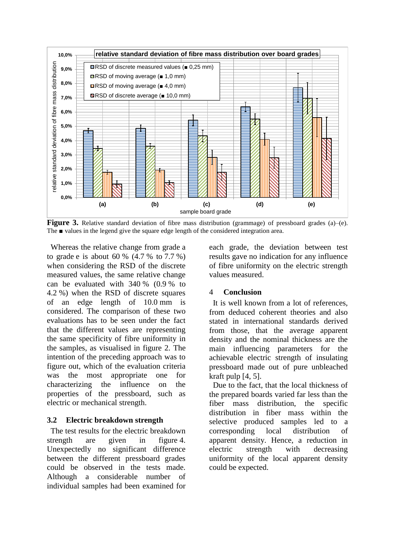

**Figure 3.** Relative standard deviation of fibre mass distribution (grammage) of pressboard grades (a)–(e). The ■ values in the legend give the square edge length of the considered integration area.

Whereas the relative change from grade a to grade e is about 60 %  $(4.7 % to 7.7 %)$ when considering the RSD of the discrete measured values, the same relative change can be evaluated with 340 % (0.9 % to 4.2 %) when the RSD of discrete squares of an edge length of 10.0 mm is considered. The comparison of these two evaluations has to be seen under the fact that the different values are representing the same specificity of fibre uniformity in the samples, as visualised in figure 2. The intention of the preceding approach was to figure out, which of the evaluation criteria was the most appropriate one for characterizing the influence on the properties of the pressboard, such as electric or mechanical strength.

#### **3.2 Electric breakdown strength**

The test results for the electric breakdown strength are given in figure 4. Unexpectedly no significant difference between the different pressboard grades could be observed in the tests made. Although a considerable number of individual samples had been examined for

each grade, the deviation between test results gave no indication for any influence of fibre uniformity on the electric strength values measured.

#### 4 **Conclusion**

It is well known from a lot of references, from deduced coherent theories and also stated in international standards derived from those, that the average apparent density and the nominal thickness are the main influencing parameters for the achievable electric strength of insulating pressboard made out of pure unbleached kraft pulp [4, 5].

Due to the fact, that the local thickness of the prepared boards varied far less than the fiber mass distribution, the specific distribution in fiber mass within the selective produced samples led to a corresponding local distribution of apparent density. Hence, a reduction in electric strength with decreasing uniformity of the local apparent density could be expected.